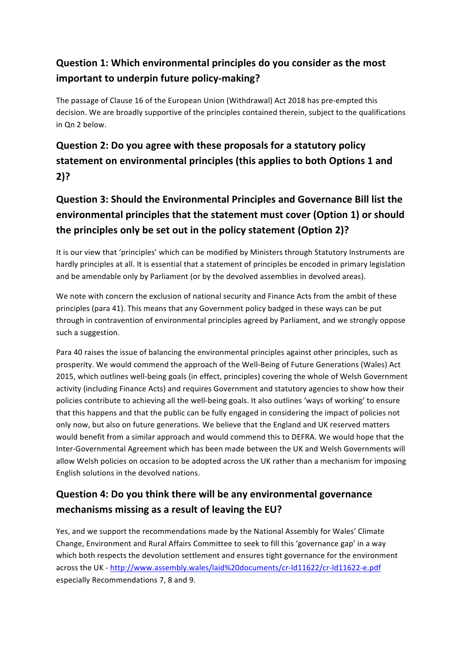#### **Question 1: Which environmental principles do you consider as the most important to underpin future policy-making?**

The passage of Clause 16 of the European Union (Withdrawal) Act 2018 has pre-empted this decision. We are broadly supportive of the principles contained therein, subject to the qualifications in Qn 2 below.

## **Question 2: Do you agree with these proposals for a statutory policy** statement on environmental principles (this applies to both Options 1 and **2)?**

# **Question 3: Should the Environmental Principles and Governance Bill list the environmental principles that the statement must cover (Option 1) or should** the principles only be set out in the policy statement (Option 2)?

It is our view that 'principles' which can be modified by Ministers through Statutory Instruments are hardly principles at all. It is essential that a statement of principles be encoded in primary legislation and be amendable only by Parliament (or by the devolved assemblies in devolved areas).

We note with concern the exclusion of national security and Finance Acts from the ambit of these principles (para 41). This means that any Government policy badged in these ways can be put through in contravention of environmental principles agreed by Parliament, and we strongly oppose such a suggestion.

Para 40 raises the issue of balancing the environmental principles against other principles, such as prosperity. We would commend the approach of the Well-Being of Future Generations (Wales) Act 2015, which outlines well-being goals (in effect, principles) covering the whole of Welsh Government activity (including Finance Acts) and requires Government and statutory agencies to show how their policies contribute to achieving all the well-being goals. It also outlines 'ways of working' to ensure that this happens and that the public can be fully engaged in considering the impact of policies not only now, but also on future generations. We believe that the England and UK reserved matters would benefit from a similar approach and would commend this to DEFRA. We would hope that the Inter-Governmental Agreement which has been made between the UK and Welsh Governments will allow Welsh policies on occasion to be adopted across the UK rather than a mechanism for imposing English solutions in the devolved nations.

## **Question 4: Do you think there will be any environmental governance** mechanisms missing as a result of leaving the EU?

Yes, and we support the recommendations made by the National Assembly for Wales' Climate Change, Environment and Rural Affairs Committee to seek to fill this 'governance gap' in a way which both respects the devolution settlement and ensures tight governance for the environment across the UK - http://www.assembly.wales/laid%20documents/cr-ld11622/cr-ld11622-e.pdf especially Recommendations 7, 8 and 9.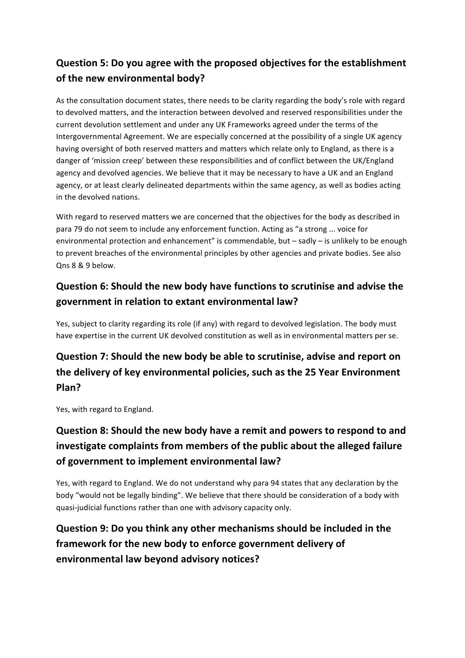### **Question 5: Do you agree with the proposed objectives for the establishment** of the new environmental body?

As the consultation document states, there needs to be clarity regarding the body's role with regard to devolved matters, and the interaction between devolved and reserved responsibilities under the current devolution settlement and under any UK Frameworks agreed under the terms of the Intergovernmental Agreement. We are especially concerned at the possibility of a single UK agency having oversight of both reserved matters and matters which relate only to England, as there is a danger of 'mission creep' between these responsibilities and of conflict between the UK/England agency and devolved agencies. We believe that it may be necessary to have a UK and an England agency, or at least clearly delineated departments within the same agency, as well as bodies acting in the devolved nations.

With regard to reserved matters we are concerned that the objectives for the body as described in para 79 do not seem to include any enforcement function. Acting as "a strong ... voice for environmental protection and enhancement" is commendable, but – sadly – is unlikely to be enough to prevent breaches of the environmental principles by other agencies and private bodies. See also Qns 8 & 9 below.

#### **Question 6: Should the new body have functions to scrutinise and advise the** government in relation to extant environmental law?

Yes, subject to clarity regarding its role (if any) with regard to devolved legislation. The body must have expertise in the current UK devolved constitution as well as in environmental matters per se.

## **Question 7: Should the new body be able to scrutinise, advise and report on** the delivery of key environmental policies, such as the 25 Year Environment **Plan?**

Yes, with regard to England.

## **Question 8: Should the new body have a remit and powers to respond to and** investigate complaints from members of the public about the alleged failure of government to implement environmental law?

Yes, with regard to England. We do not understand why para 94 states that any declaration by the body "would not be legally binding". We believe that there should be consideration of a body with quasi-judicial functions rather than one with advisory capacity only.

## **Question 9: Do you think any other mechanisms should be included in the** framework for the new body to enforce government delivery of **environmental law beyond advisory notices?**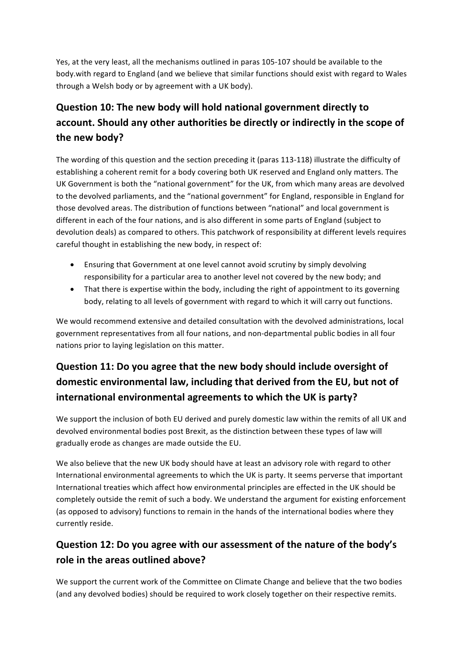Yes, at the very least, all the mechanisms outlined in paras 105-107 should be available to the body.with regard to England (and we believe that similar functions should exist with regard to Wales through a Welsh body or by agreement with a UK body).

# **Question 10: The new body will hold national government directly to** account. Should any other authorities be directly or indirectly in the scope of the new body?

The wording of this question and the section preceding it (paras 113-118) illustrate the difficulty of establishing a coherent remit for a body covering both UK reserved and England only matters. The UK Government is both the "national government" for the UK, from which many areas are devolved to the devolved parliaments, and the "national government" for England, responsible in England for those devolved areas. The distribution of functions between "national" and local government is different in each of the four nations, and is also different in some parts of England (subject to devolution deals) as compared to others. This patchwork of responsibility at different levels requires careful thought in establishing the new body, in respect of:

- Ensuring that Government at one level cannot avoid scrutiny by simply devolving responsibility for a particular area to another level not covered by the new body; and
- That there is expertise within the body, including the right of appointment to its governing body, relating to all levels of government with regard to which it will carry out functions.

We would recommend extensive and detailed consultation with the devolved administrations, local government representatives from all four nations, and non-departmental public bodies in all four nations prior to laying legislation on this matter.

## **Question 11: Do you agree that the new body should include oversight of** domestic environmental law, including that derived from the EU, but not of **international environmental agreements to which the UK is party?**

We support the inclusion of both EU derived and purely domestic law within the remits of all UK and devolved environmental bodies post Brexit, as the distinction between these types of law will gradually erode as changes are made outside the EU.

We also believe that the new UK body should have at least an advisory role with regard to other International environmental agreements to which the UK is party. It seems perverse that important International treaties which affect how environmental principles are effected in the UK should be completely outside the remit of such a body. We understand the argument for existing enforcement (as opposed to advisory) functions to remain in the hands of the international bodies where they currently reside.

## **Question 12: Do you agree with our assessment of the nature of the body's role in the areas outlined above?**

We support the current work of the Committee on Climate Change and believe that the two bodies (and any devolved bodies) should be required to work closely together on their respective remits.